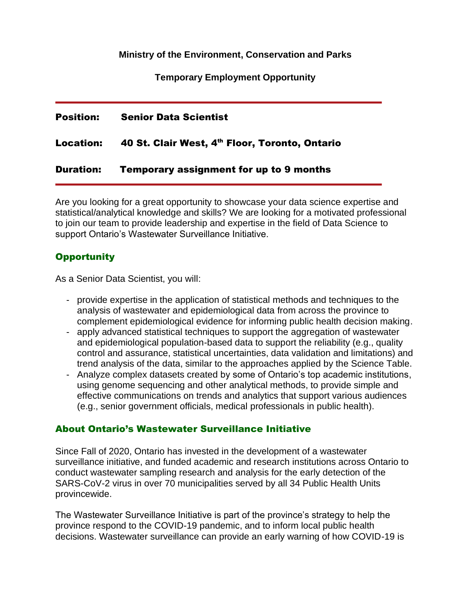**Ministry of the Environment, Conservation and Parks**

**Temporary Employment Opportunity**

| Position:        | <b>Senior Data Scientist</b>                                         |
|------------------|----------------------------------------------------------------------|
|                  | Location: 40 St. Clair West, 4 <sup>th</sup> Floor, Toronto, Ontario |
| <b>Duration:</b> | <b>Temporary assignment for up to 9 months</b>                       |

Are you looking for a great opportunity to showcase your data science expertise and statistical/analytical knowledge and skills? We are looking for a motivated professional to join our team to provide leadership and expertise in the field of Data Science to support Ontario's Wastewater Surveillance Initiative.

## **Opportunity**

As a Senior Data Scientist, you will:

- provide expertise in the application of statistical methods and techniques to the analysis of wastewater and epidemiological data from across the province to complement epidemiological evidence for informing public health decision making.
- apply advanced statistical techniques to support the aggregation of wastewater and epidemiological population-based data to support the reliability (e.g., quality control and assurance, statistical uncertainties, data validation and limitations) and trend analysis of the data, similar to the approaches applied by the Science Table.
- Analyze complex datasets created by some of Ontario's top academic institutions, using genome sequencing and other analytical methods, to provide simple and effective communications on trends and analytics that support various audiences (e.g., senior government officials, medical professionals in public health).

## About Ontario's Wastewater Surveillance Initiative

Since Fall of 2020, Ontario has invested in the development of a wastewater surveillance initiative, and funded academic and research institutions across Ontario to conduct wastewater sampling research and analysis for the early detection of the SARS-CoV-2 virus in over 70 municipalities served by all 34 Public Health Units provincewide.

The Wastewater Surveillance Initiative is part of the province's strategy to help the province respond to the COVID-19 pandemic, and to inform local public health decisions. Wastewater surveillance can provide an early warning of how COVID-19 is